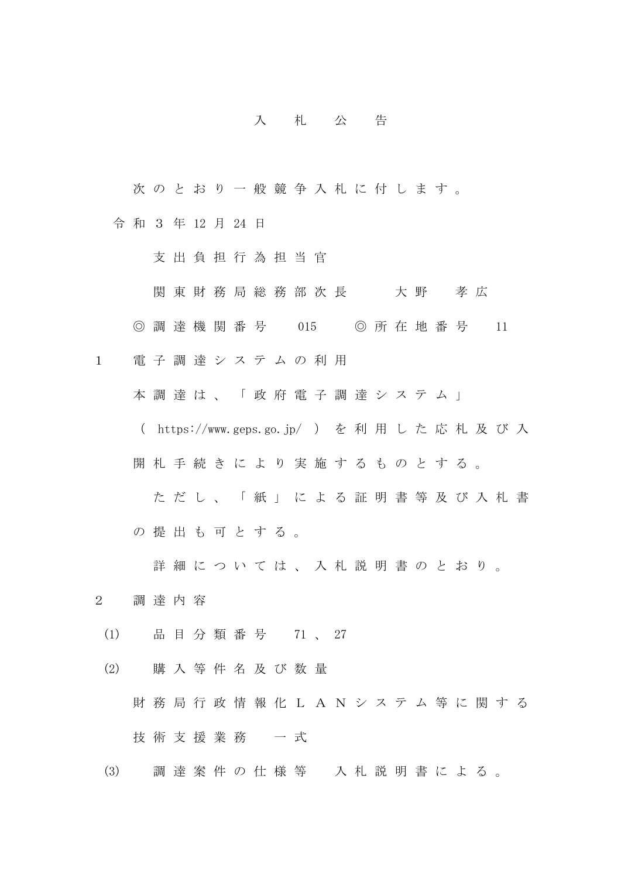## 入 札 公 告

次のとおり一般競争入札に付します。

令 和 3 年 12 月 24 日

支 出 負 担 行 為 担 当 官

関 東 財 務 局 総 務 部 次 長 不 大 野 孝 広

◎ 調 達 機 関 番 号 015 ◎ 所 在 地 番 号 11

1 電 子 調 達 シ ス テ ム の 利 用

本 調 達 は 、 「 政 府 電 子 調 達 シ ス テ ム 」

( https://www.geps.go.jp/ ) を 利 用 し た 応 札 及 び 入

開札 手続きにより実施するものとする。

た だ し 、 「 紙 」 に よ る 証 明 書 等 及 び 入 札 書 の 提 出 も 可 と す る 。

詳 細 に つ い て は 、 入 札 説 明 書 の と お り 。

2 調 達 内 容

(1) 品 目 分 類 番 号 71 、 27

(2) 購 入 等 件 名 及 び 数 量 財 務 局 行 政 情 報 化 L A N シ ス テ ム 等 に 関 す る 技術支援業務 一式

(3) 調 達 案 件 の 仕 様 等 入 札 説 明 書 に よ る 。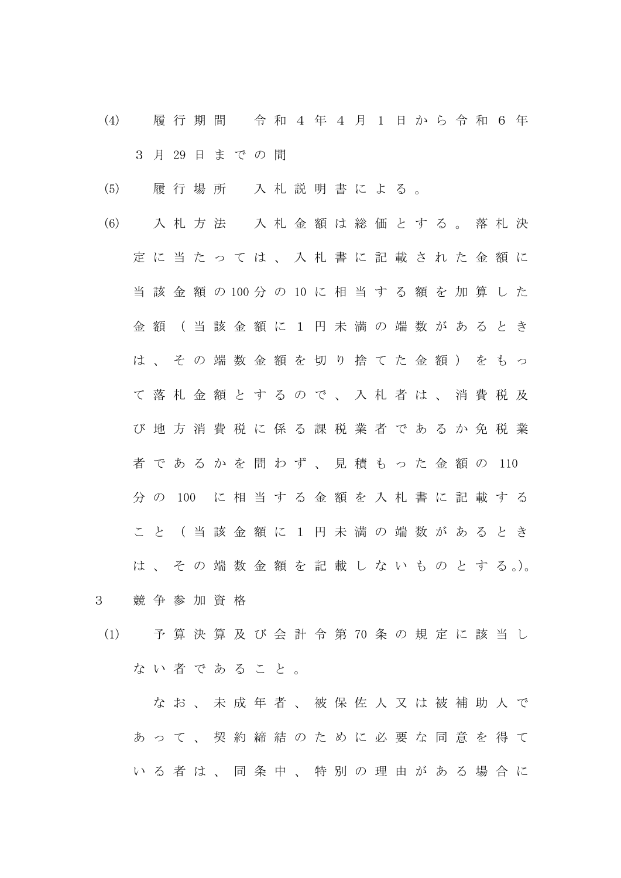- (4) 履 行 期 間 令 和 4 年 4 月 1 日 か ら 令 和 6 年 3 月 29 日 ま で の 間
- (5) 履 行 場 所 入 札 説 明 書 に よ る 。
- (6) 入 札 方 法 入 札 金 額 は 総 価 と す る 。 落 札 決 定 に 当 た っ て は 、 入 札 書 に 記 載 さ れ た 金 額 に 当 該 金 額 の 100 分 の 10 に 相 当 す る 額 を 加 算 し た 金 額 ( 当 該 金 額 に 1 円 未 満 の 端 数 が あ る と き は 、 そ の 端 数 金 額 を 切 り 捨 て た 金 額 ) を も っ て 落 札 金 額 と す る の で 、 入 札 者 は 、 消 費 税 及 び 地 方 消 費 税 に 係 る 課 税 業 者 で あ る か 免 税 業 者 で あ る か を 問 わ ず 、 見 積 も っ た 金 額 の 110 分 の 100 に 相 当 す る 金 額 を 入 札 書 に 記 載 す る こ と ( 当 該 金 額 に 1 円 未 満 の 端 数 が あ る と き は 、 そ の 端 数 金 額 を 記 載 し な い も の と す る 。)。
- 3 競 争 参 加 資 格
- (1) 予 算 決 算 及 び 会 計 令 第 70 条 の 規 定 に 該 当 し な い 者 で あ る こ と 。

なお、未成年者、被保佐人又は被補助人で あ っ て 、 契 約 締 結 の た め に 必 要 な 同 意 を 得 て いる者は、同条中、特別の理由がある場合に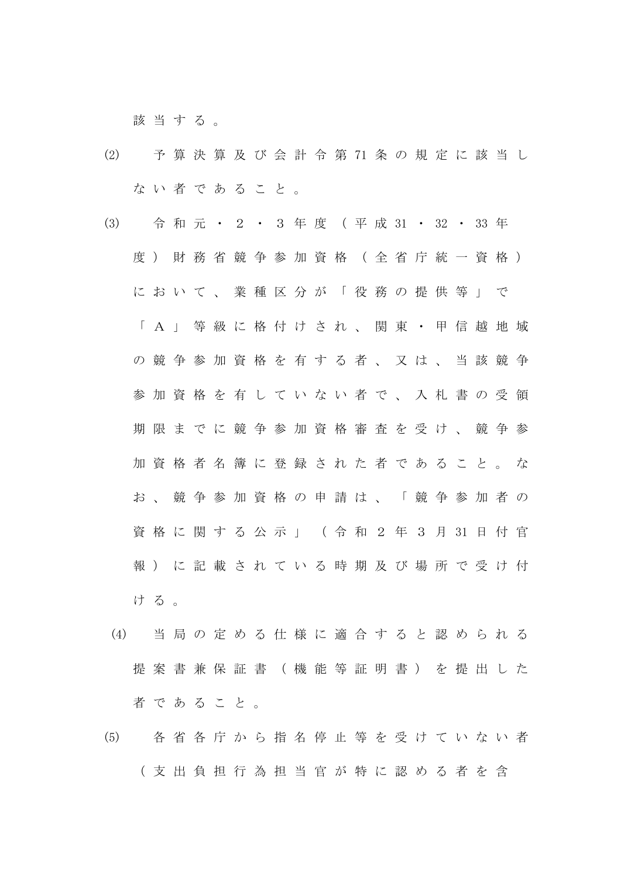該当する。

- (2) 予 算 決 算 及 び 会 計 令 第 71 条 の 規 定 に 該 当 し な い 者 で あ る こ と 。
- (3) 令 和 元 ・ 2 ・ 3 年 度 ( 平 成 31 ・ 32 ・ 33 年 度) 財 務 省 競 争 参 加 資 格 (全 省 庁 統 一 資 格 ) に お い て 、 業 種 区 分 が 「 役 務 の 提 供 等 」 で 「 A 」 等 級 に 格 付 け さ れ 、 関 東 ・ 甲 信 越 地 域 の 競 争 参 加 資 格 を 有 す る 者 、 又 は 、 当 該 競 争 参 加 資 格 を 有 し て い な い 者 で 、 入 札 書 の 受 領 期 限 ま で に 競 争 参 加 資 格 審 査 を 受 け 、 競 争 参 加 資 格 者 名 簿 に 登 録 さ れ た 者 で あ る こ と 。 な お、競争参加資格の申請は、「競争参加者の 資 格 に 関 す る 公 示 」 ( 令 和 2 年 3 月 31 日 付 官 報 ) に 記 載 さ れ て い る 時 期 及 び 場 所 で 受 け 付 ける。
- (4) 当 局 の 定 め る 仕 様 に 適 合 す る と 認 め ら れ る 提 案 書 兼 保 証 書 ( 機 能 等 証 明 書 ) を 提 出 し た 者 で あ る こ と 。
- (5) 各 省 各 庁 か ら 指 名 停 止 等 を 受 け て い な い 者 ( 支 出 負 担 行 為 担 当 官 が 特 に 認 め る 者 を 含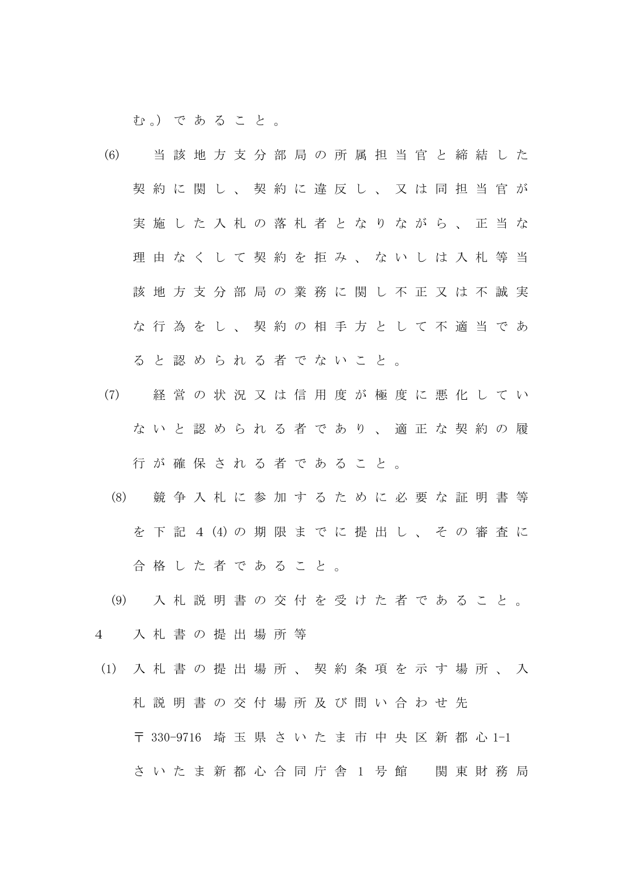む。) であること。

- (6) 当 該 地 方 支 分 部 局 の 所 属 担 当 官 と 締 結 し た 契 約 に 関 し 、 契 約 に 違 反 し 、 又 は 同 担 当 官 が 実施した入札の落札者となりながら、正当な 理 由 な く し て 契 約 を 拒 み 、 な い し は 入 札 等 当 該 地 方 支 分 部 局 の 業 務 に 関 し 不 正 又 は 不 誠 実 な 行 為 を し 、 契 約 の 相 手 方 と し て 不 適 当 で あ る と 認 め ら れ る 者 で な い こ と 。
- (7) 経 営 の 状 況 又 は 信 用 度 が 極 度 に 悪 化 し て い な い と 認 め ら れ る 者 で あ り 、 適 正 な 契 約 の 履 行 が 確 保 さ れ る 者 で あ る こ と 。
- (8) 競 争 入 札 に 参 加 す る た め に 必 要 な 証 明 書 等 を 下 記 4 (4) の 期 限 ま で に 提 出 し 、 そ の 審 査 に 合 格 し た 者 で あ る こ と 。
- (9) 入 札 説 明 書 の 交 付 を 受 け た 者 で あ る こ と 。
- 4 入 札 書 の 提 出 場 所 等
- (1) 入 札 書 の 提 出 場 所 、 契 約 条 項 を 示 す 場 所 、 入 札 説 明 書 の 交 付 場 所 及 び 問 い 合 わ せ 先 〒 330-9716 埼 玉 県 さ い た ま 市 中 央 区 新 都 心 1-1 さ い た ま 新 都 心 合 同 庁 舎 1 号 館 関 東 財 務 局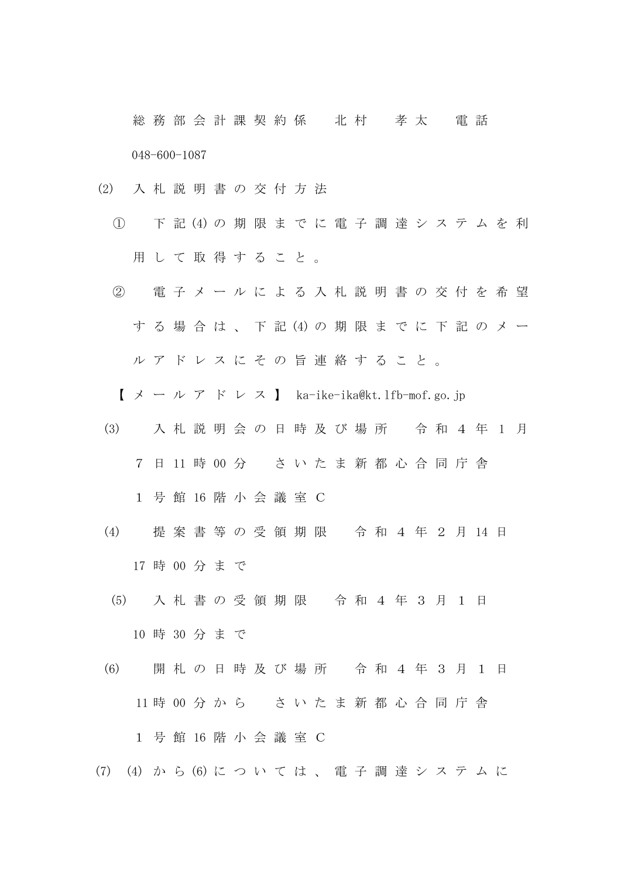総 務 部 会 計 課 契 約 係 北 村 孝 太 電 話 048-600-1087

- (2) 入 札 説 明 書 の 交 付 方 法
	- ① 下 記 (4) の 期 限 ま で に 電 子 調 達 シ ス テ ム を 利 用 し て 取 得 す る こ と 。
	- ② 電 子 メ ー ル に よ る 入 札 説 明 書 の 交 付 を 希 望 す る 場 合 は 、 下 記 (4) の 期 限 ま で に 下 記 の メ ー ル ア ド レ ス に そ の 旨 連 絡 す る こ と 。
		- $X \rightarrow \nu \not\supset Y \quad \text{for} \quad \nu \not\supset X$  ka-ike-ika@kt.lfb-mof.go.jp
	- (3) 入 札 説 明 会 の 日 時 及 び 場 所 令 和 4 年 1 月 7 日 11 時 00 分 さ い た ま 新 都 心 合 同 庁 舎 1 号 館 16 階 小 会 議 室 C
	- (4) 提 案 書 等 の 受 領 期 限 令 和 4 年 2 月 14 日 17 時 00 分 ま で
	- (5) 入 札 書 の 受 領 期 限 令 和 4 年 3 月 1 日 10 時 30 分 ま で
- (6) 開 札 の 日 時 及 び 場 所 令 和 4 年 3 月 1 日 11 時 00 分 か ら さ い た ま 新 都 心 合 同 庁 舎 1 号 館 16 階 小 会 議 室 C
- (7) (4) か ら (6) に つ い て は 、 電 子 調 達 シ ス テ ム に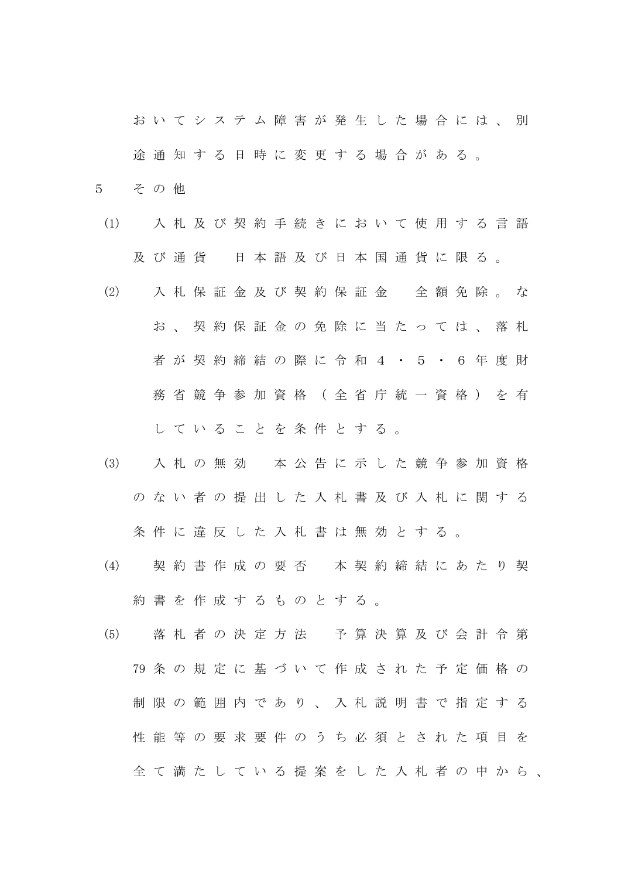お い て シ ス テ ム 障 害 が 発 生 し た 場 合 に は 、 別 途通知する日時に変更する場合がある。

- 5 そ の 他
- (1) 入 札 及 び 契 約 手 続 き に お い て 使 用 す る 言 語 及 び 通 貨 日 本 語 及 び 日 本 国 通 貨 に 限 る 。
- (2) 入 札 保 証 金 及 び 契 約 保 証 金 全 額 免 除 。 な お 、 契 約 保 証 金 の 免 除 に 当 た っ て は 、 落 札 者 が 契 約 締 結 の 際 に 令 和 4 ・ 5 ・ 6 年 度 財 務 省 競 争 参 加 資 格 ( 全 省 庁 統 一 資 格 ) を 有 し て い る こ と を 条 件 と す る 。
- (3) 入 札 の 無 効 本 公 告 に 示 し た 競 争 参 加 資 格 の な い 者 の 提 出 し た 入 札 書 及 び 入 札 に 関 す る 条件に違反した入札書は無効とする。
- (4) 契 約 書 作 成 の 要 否 本 契 約 締 結 に あ た り 契 約 書 を 作 成 す る も の と す る 。
- (5) 落 札 者 の 決 定 方 法 予 算 決 算 及 び 会 計 令 第 79 条 の 規 定 に 基 づ い て 作 成 さ れ た 予 定 価 格 の 制 限 の 範 囲 内 で あ り 、 入 札 説 明 書 で 指 定 す る 性 能 等 の 要 求 要 件 の う ち 必 須 と さ れ た 項 目 を 全 て 満 た し て い る 提 案 を し た 入 札 者 の 中 か ら 、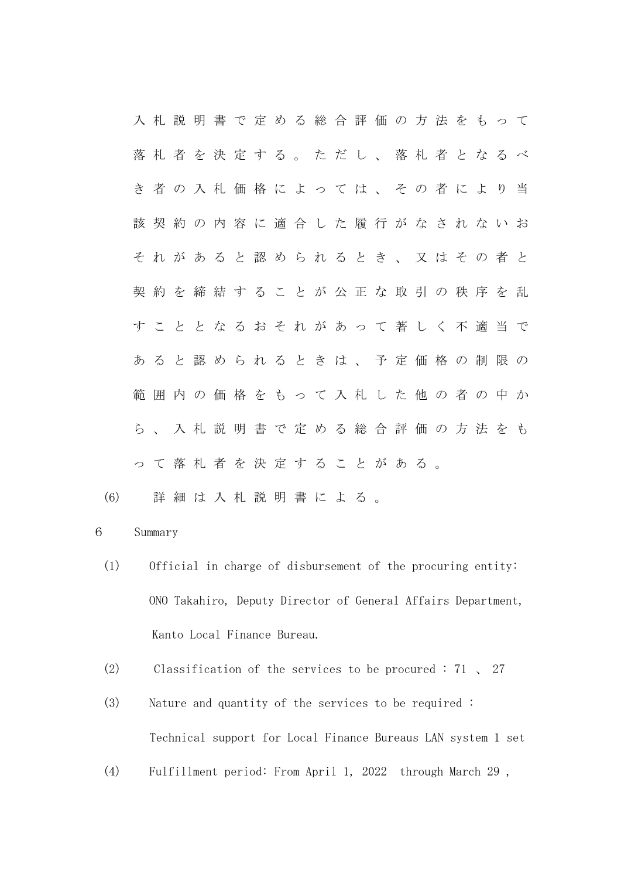入 札 説 明 書 で 定 め る 総 合 評 価 の 方 法 を も っ て 落 札 者 を 決 定 す る 。 た だ し 、 落 札 者 と な る べ き 者 の 入 札 価 格 に よ っ て は 、 そ の 者 に よ り 当 該 契 約 の 内 容 に 適 合 し た 履 行 が な さ れ な い お そ れ が あ る と 認 め ら れ る と き 、 又 は そ の 者 と 契 約 を 締 結 す る こ と が 公 正 な 取 引 の 秩 序 を 乱 す こ と と な る お そ れ が あ っ て 著 し く 不 適 当 で あ る と 認 め ら れ る と き は 、 予 定 価 格 の 制 限 の 範囲内の価格をもって入札した他の者の中か ら 、 入 札 説 明 書 で 定 め る 総 合 評 価 の 方 法 を も っ て 落 札 者 を 決 定 す る こ と が あ る 。

(6) 詳 細 は 入 札 説 明 書 に よ る 。

## 6 Summary

- (1) Official in charge of disbursement of the procuring entity: ONO Takahiro, Deputy Director of General Affairs Department, Kanto Local Finance Bureau.
- (2) Classification of the services to be procured : 71 、 27
- (3) Nature and quantity of the services to be required : Technical support for Local Finance Bureaus LAN system 1 set
- (4) Fulfillment period: From April 1, 2022 through March 29 ,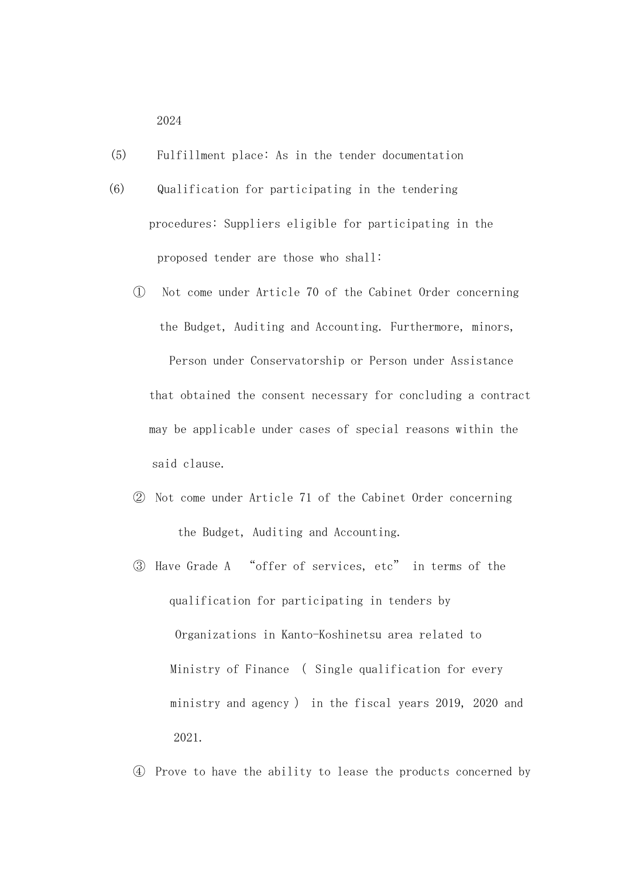2024

- (5) Fulfillment place: As in the tender documentation
- (6) Qualification for participating in the tendering procedures: Suppliers eligible for participating in the proposed tender are those who shall:
	- ① Not come under Article 70 of the Cabinet Order concerning the Budget, Auditing and Accounting. Furthermore, minors, Person under Conservatorship or Person under Assistance that obtained the consent necessary for concluding a contract may be applicable under cases of special reasons within the said clause.
	- ② Not come under Article 71 of the Cabinet Order concerning the Budget, Auditing and Accounting.
	- ③ Have Grade A "offer of services, etc" in terms of the qualification for participating in tenders by Organizations in Kanto-Koshinetsu area related to Ministry of Finance ( Single qualification for every ministry and agency ) in the fiscal years 2019, 2020 and 2021.

④ Prove to have the ability to lease the products concerned by